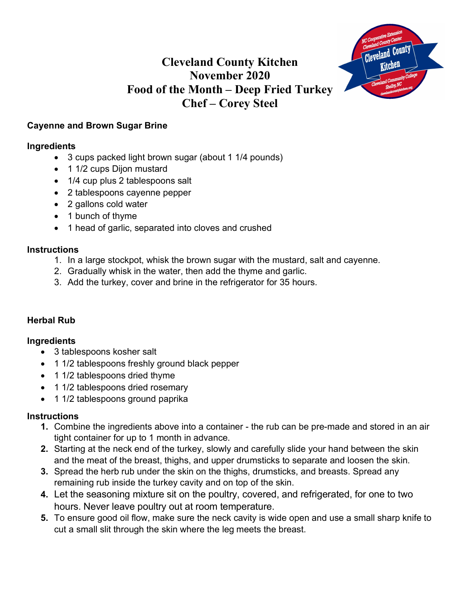## **Cleveland County Kitchen November 2020 Food of the Month – Deep Fried Turkey Chef – Corey Steel**



## **Cayenne and Brown Sugar Brine**

#### **Ingredients**

- 3 cups packed light brown sugar (about 1 1/4 pounds)
- 1 1/2 cups Dijon mustard
- 1/4 cup plus 2 tablespoons salt
- 2 tablespoons cayenne pepper
- 2 gallons cold water
- 1 bunch of thyme
- 1 head of garlic, separated into cloves and crushed

#### **Instructions**

- 1. In a large stockpot, whisk the brown sugar with the mustard, salt and cayenne.
- 2. Gradually whisk in the water, then add the thyme and garlic.
- 3. Add the turkey, cover and brine in the refrigerator for 35 hours.

## **Herbal Rub**

#### **Ingredients**

- 3 tablespoons kosher salt
- 1 1/2 tablespoons freshly ground black pepper
- 1 1/2 tablespoons dried thyme
- 1 1/2 tablespoons dried rosemary
- 1 1/2 tablespoons ground paprika

#### **Instructions**

- **1.** Combine the ingredients above into a container the rub can be pre-made and stored in an air tight container for up to 1 month in advance.
- **2.** Starting at the neck end of the turkey, slowly and carefully slide your hand between the skin and the meat of the breast, thighs, and upper drumsticks to separate and loosen the skin.
- **3.** Spread the herb rub under the skin on the thighs, drumsticks, and breasts. Spread any remaining rub inside the turkey cavity and on top of the skin.
- **4.** Let the seasoning mixture sit on the poultry, covered, and refrigerated, for one to two hours. Never leave poultry out at room temperature.
- **5.** To ensure good oil flow, make sure the neck cavity is wide open and use a small sharp knife to cut a small slit through the skin where the leg meets the breast.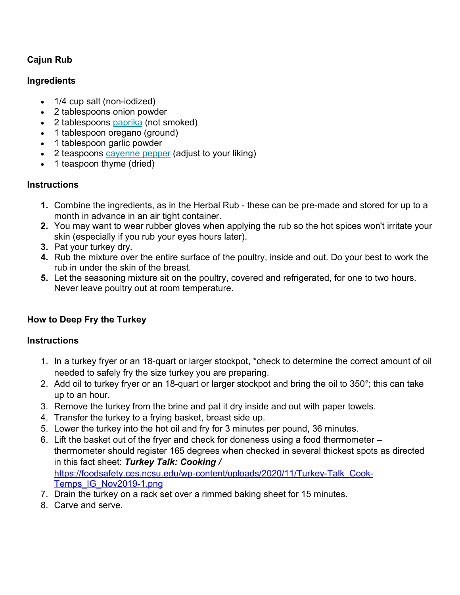## **Cajun Rub**

#### **Ingredients**

- 1/4 cup salt (non-iodized)
- 2 tablespoons onion powder
- 2 tablespoons paprika (not smoked)
- 1 tablespoon oregano (ground)
- 1 tablespoon garlic powder
- 2 teaspoons cayenne pepper (adjust to your liking)
- 1 teaspoon thyme (dried)

## **Instructions**

- **1.** Combine the ingredients, as in the Herbal Rub these can be pre-made and stored for up to a month in advance in an air tight container.
- **2.** You may want to wear rubber gloves when applying the rub so the hot spices won't irritate your skin (especially if you rub your eyes hours later).
- **3.** Pat your turkey dry.
- **4.** Rub the mixture over the entire surface of the poultry, inside and out. Do your best to work the rub in under the skin of the breast.
- **5.** Let the seasoning mixture sit on the poultry, covered and refrigerated, for one to two hours. Never leave poultry out at room temperature.

## **How to Deep Fry the Turkey**

#### **Instructions**

- 1. In a turkey fryer or an 18-quart or larger stockpot, \*check to determine the correct amount of oil needed to safely fry the size turkey you are preparing.
- 2. Add oil to turkey fryer or an 18-quart or larger stockpot and bring the oil to 350°; this can take up to an hour.
- 3. Remove the turkey from the brine and pat it dry inside and out with paper towels.
- 4. Transfer the turkey to a frying basket, breast side up.
- 5. Lower the turkey into the hot oil and fry for 3 minutes per pound, 36 minutes.
- 6. Lift the basket out of the fryer and check for doneness using a food thermometer thermometer should register 165 degrees when checked in several thickest spots as directed in this fact sheet: *Turkey Talk: Cooking /* https://foodsafety.ces.ncsu.edu/wp-content/uploads/2020/11/Turkey-Talk\_Cook-Temps\_IG\_Nov2019-1.png
- 7. Drain the turkey on a rack set over a rimmed baking sheet for 15 minutes.
- 8. Carve and serve.